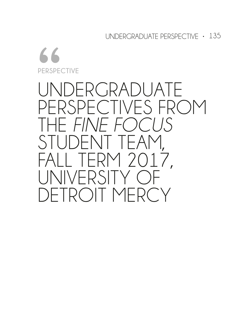UNDERGRADUATE PERSPECTIVE • 135

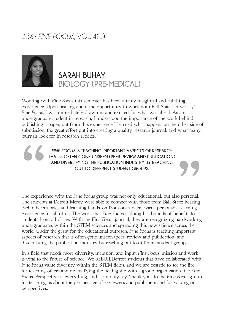### *136• FINE FOCUS*, VOL. 4(1)



**SARAH BUHAY BIOLOGY (PRE-MEDICAL)**

Working with *Fine Focus* this semester has been a truly insightful and fulflling experience. Upon hearing about the opportunity to work with Ball State University's *Fine Focus*, I was immediately drawn in and excited for what was ahead. As an undergraduate student in research, I understood the importance of the work behind publishing a paper, but from this experience I learned what happens on the other side of submission, the great effort put into creating a quality research journal, and what many journals look for in research articles. other side compared to the many

The experie<br>The students<br>each other's

*FINE FOCUS* **IS TEACHING IMPORTANT ASPECTS OF RESEARCH THAT IS OFTEN GONE UNSEEN (PEER-REVIEW AND PUBLICATION) AND DIVERSIFYING THE PUBLICATION INDUSTRY BY REACHING OUT TO DIFFERENT STUDENT GROUPS.**

The experience with the *Fine Focus* group was not only educational, but also personal. The students at Detroit Mercy were able to connect with those from Ball State; hearing each other's stories and learning hands-on from one's peers was a personable learning experience for all of us. The work that *Fine Focus* is doing has bounds of benefts to students from all places. With the *Fine Focus* journal, they are recognizing hardworking undergraduates within the STEM sciences and spreading this new science across the world. Under the grant for the educational outreach, *Fine Focus* is teaching important aspects of research that is often gone unseen (peer-review and publication) and diversifying the publication industry by reaching out to different student groups.

In a feld that needs more diversity, inclusion, and input, *Fine Focus*' mission and work is vital to the future of science. We ReBUILDetroit students that have collaborated with *Fine Focus* value diversity within the STEM felds, and we are ecstatic to see the fre for teaching others and diversifying the feld ignite with a group organization like *Fine Focus*. Perspective is everything, and I can only say "thank you" to the *Fine Focus* group for teaching us about the perspective of reviewers and publishers and for valuing our perspectives.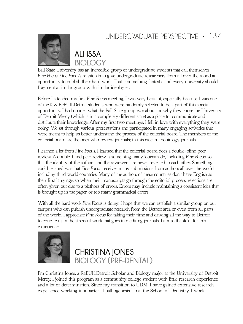# UNDERGRADUATE PERSPECTIVE • 137



**ALI ISSA BIOLOGY**

Ball State University has an incredible group of undergraduate students that call themselves *Fine Focus*. *Fine Focus*'s mission is to give undergraduate researchers from all over the world an opportunity to publish their hard work. That is something fantastic and every university should fragment a similar group with similar ideologies.

Before I attended my frst *Fine Focus* meeting, I was very hesitant, especially because I was one of the few ReBUILDetroit students who were randomly selected to be a part of this special opportunity. I had no idea what the Ball State group was about, or why they chose the University of Detroit Mercy (which is in a completely different state) as a place to communicate and distribute their knowledge. After my frst two meetings, I fell in love with everything they were doing. We sat through various presentations and participated in many engaging activities that were meant to help us better understand the process of the editorial board. The members of the editorial board are the ones who review journals; in this case, microbiology journals.

I learned a lot from *Fine Focus*. I learned that the editorial board does a double-blind peer review. A double-blind peer review is something many journals do, including *Fine Focus*, so that the identity of the authors and the reviewers are never revealed to each other. Something cool I learned was that *Fine Focus* receives many submissions from authors all over the world, including third world countries. Many of the authors of these countries don't have English as their frst language, so when their manuscripts go through the editorial process, rejections are often given out due to a plethora of errors. Errors may include maintaining a consistent idea that is brought up in the paper, or too many grammatical errors.

With all the hard work *Fine Focus* is doing, I hope that we can establish a similar group on our campus who can publish undergraduate research from the Detroit area or even from all parts of the world. I appreciate *Fine Focus* for taking their time and driving all the way to Detroit to educate us in the stressful work that goes into editing journals. I am so thankful for this experience.



**CHRISTINA JONES BIOLOGY (PRE-DENTAL)**

I'm Christina Jones, a ReBUILDetroit Scholar and Biology major at the University of Detroit Mercy. I joined this program as a community college student with little research experience and a lot of determination. Since my transition to UDM, I have gained extensive research experience working in a bacterial pathogenesis lab at the School of Dentistry. I work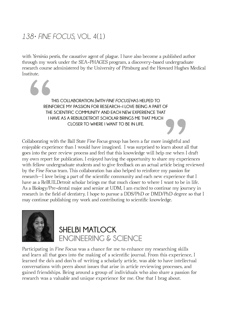### *138• FINE FOCUS*, VOL. 4(1)

with *Yersinia pestis,* the causative agent of plague. I have also become a published author through my work under the SEA-PHAGES program, a discovery-based undergraduate research course administered by the University of Pittsburg and the Howard Hughes Medical Institute.

EXERED THE THE THE 。<br>99 **THIS COLLABORATION** *[WITH FINE FOCUS]* **HAS HELPED TO REINFORCE MY PASSION FOR RESEARCH—I LOVE BEING A PART OF THE SCIENTIFIC COMMUNITY AND EACH NEW EXPERIENCE THAT I HAVE AS A REBUILDETROIT SCHOLAR BRINGS ME THAT MUCH CLOSER TO WHERE I WANT TO BE IN LIFE.** 

Collaborating with the Ball State *Fine Focus* group has been a far more insightful and enjoyable experience than I would have imagined. I was surprised to learn about all that goes into the peer review process and feel that this knowledge will help me when I draft my own report for publication. I enjoyed having the opportunity to share my experiences with fellow undergraduate students and to give feedback on an actual article being reviewed by the *Fine Focus* team. This collaboration has also helped to reinforce my passion for research—I love being a part of the scientifc community and each new experience that I have as a ReBUILDetroit scholar brings me that much closer to where I want to be in life. As a Biology/Pre-dental major and senior at UDM, I am excited to continue my journey in research in the feld of dentistry. I hope to pursue a DDS/PhD or DMD/PhD degree so that I may continue publishing my work and contributing to scientifc knowledge.



# **SHELBI MATLOCK ENGINEERING & SCIENCE**

Participating in *Fine Focus* was a chance for me to enhance my researching skills and learn all that goes into the making of a scientifc journal. From this experience, I learned the do's and don'ts of writing a scholarly article, was able to have intellectual conversations with peers about issues that arise in article reviewing processes, and gained friendships. Being around a group of individuals who also share a passion for research was a valuable and unique experience for me. One that I brag about.